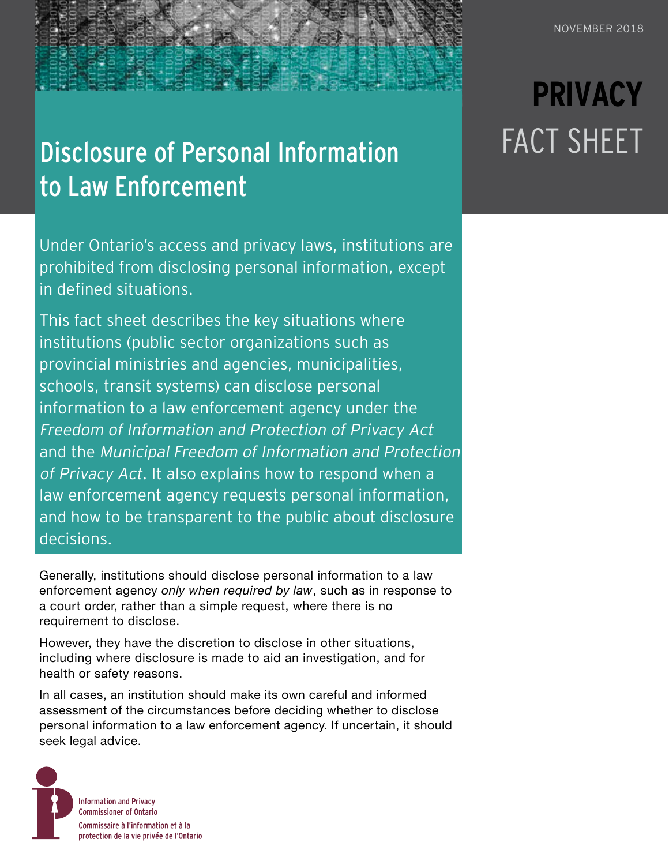## Disclosure of Personal Information to Law Enforcement

Under Ontario's access and privacy laws, institutions are prohibited from disclosing personal information, except in defined situations.

This fact sheet describes the key situations where institutions (public sector organizations such as provincial ministries and agencies, municipalities, schools, transit systems) can disclose personal information to a law enforcement agency under the Freedom of Information and Protection of Privacy Act and the Municipal Freedom of Information and Protection of Privacy Act. It also explains how to respond when a law enforcement agency requests personal information, and how to be transparent to the public about disclosure decisions.

Generally, institutions should disclose personal information to a law enforcement agency *only when required by law*, such as in response to a court order, rather than a simple request, where there is no requirement to disclose.

However, they have the discretion to disclose in other situations, including where disclosure is made to aid an investigation, and for health or safety reasons.

In all cases, an institution should make its own careful and informed assessment of the circumstances before deciding whether to disclose personal information to a law enforcement agency. If uncertain, it should seek legal advice.



# **PRIVACY** FACT SHEET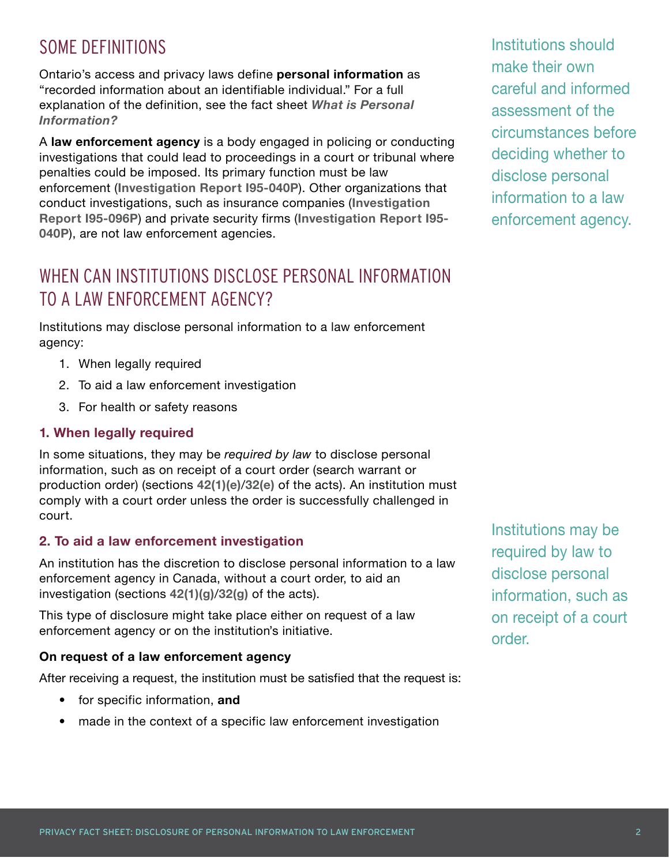## SOME DEFINITIONS

Ontario's access and privacy laws define **personal information** as "recorded information about an identifiable individual." For a full explanation of the definition, see the fact sheet *[What is Personal](https://www.ipc.on.ca/wp-content/uploads/2016/10/what-is-personal-information.pdf)  [Information?](https://www.ipc.on.ca/wp-content/uploads/2016/10/what-is-personal-information.pdf)*

A **law enforcement agency** is a body engaged in policing or conducting investigations that could lead to proceedings in a court or tribunal where penalties could be imposed. Its primary function must be law enforcement (**[Investigation Report I95-040P](https://decisions.ipc.on.ca/ipc-cipvp/privacy/en/item/129645/index.do)**). Other organizations that conduct investigations, such as insurance companies (**[Investigation](https://decisions.ipc.on.ca/ipc-cipvp/privacy/en/item/129983/index.do)  [Report I95-096P](https://decisions.ipc.on.ca/ipc-cipvp/privacy/en/item/129983/index.do)**) and private security firms (**[Investigation Report I95-](https://decisions.ipc.on.ca/ipc-cipvp/privacy/en/item/129645/index.do) [040P](https://decisions.ipc.on.ca/ipc-cipvp/privacy/en/item/129645/index.do)**), are not law enforcement agencies.

## WHEN CAN INSTITUTIONS DISCLOSE PERSONAL INFORMATION TO A LAW ENFORCEMENT AGENCY?

Institutions may disclose personal information to a law enforcement agency:

- 1. When legally required
- 2. To aid a law enforcement investigation
- 3. For health or safety reasons

#### **1. When legally required**

In some situations, they may be *required by law* to disclose personal information, such as on receipt of a court order (search warrant or production order) (sections **[42\(1\)\(e\)](https://www.ontario.ca/laws/statute/90f31#BK58)**/**[32\(e\)](https://www.ontario.ca/laws/statute/90m56#BK44)** of the acts). An institution must comply with a court order unless the order is successfully challenged in court.

#### **2. To aid a law enforcement investigation**

An institution has the discretion to disclose personal information to a law enforcement agency in Canada, without a court order, to aid an investigation (sections **[42\(1\)\(g\)](https://www.ontario.ca/laws/statute/90f31#BK58)**/**[32\(g\)](https://www.ontario.ca/laws/statute/90m56#BK44)** of the acts).

This type of disclosure might take place either on request of a law enforcement agency or on the institution's initiative.

#### **On request of a law enforcement agency**

After receiving a request, the institution must be satisfied that the request is:

- for specific information, **and**
- made in the context of a specific law enforcement investigation

Institutions should make their own careful and informed assessment of the circumstances before deciding whether to disclose personal information to a law enforcement agency.

Institutions may be required by law to disclose personal information, such as on receipt of a court order.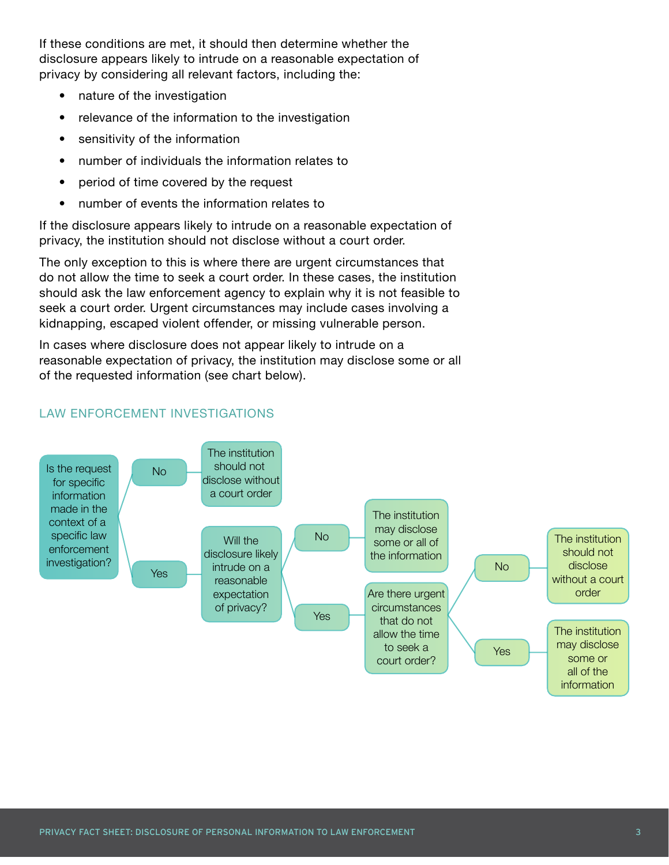If these conditions are met, it should then determine whether the disclosure appears likely to intrude on a reasonable expectation of privacy by considering all relevant factors, including the:

- nature of the investigation
- relevance of the information to the investigation
- sensitivity of the information
- number of individuals the information relates to
- period of time covered by the request
- number of events the information relates to

If the disclosure appears likely to intrude on a reasonable expectation of privacy, the institution should not disclose without a court order.

The only exception to this is where there are urgent circumstances that do not allow the time to seek a court order. In these cases, the institution should ask the law enforcement agency to explain why it is not feasible to seek a court order. Urgent circumstances may include cases involving a kidnapping, escaped violent offender, or missing vulnerable person.

In cases where disclosure does not appear likely to intrude on a reasonable expectation of privacy, the institution may disclose some or all of the requested information (see chart below).



#### LAW ENFORCEMENT INVESTIGATIONS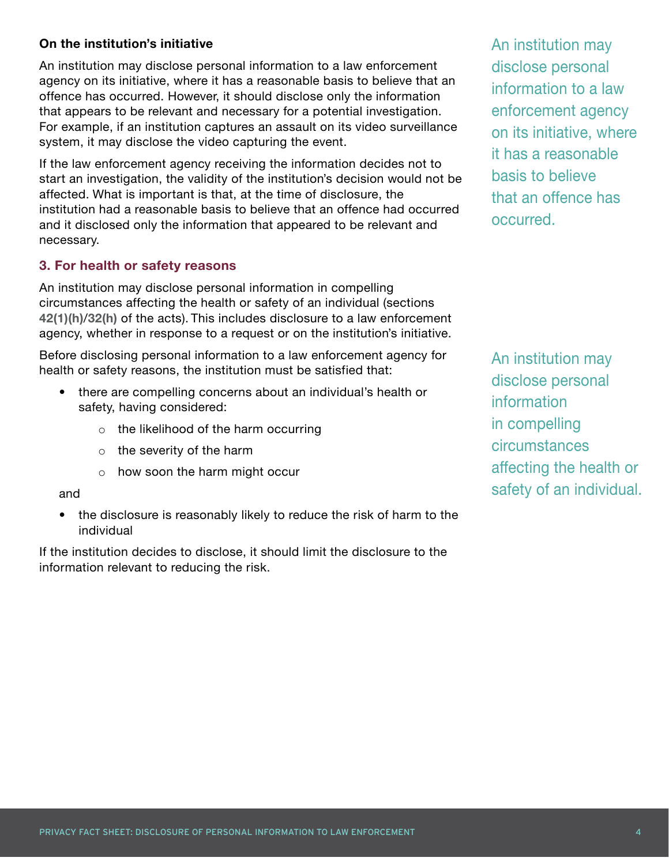#### **On the institution's initiative**

An institution may disclose personal information to a law enforcement agency on its initiative, where it has a reasonable basis to believe that an offence has occurred. However, it should disclose only the information that appears to be relevant and necessary for a potential investigation. For example, if an institution captures an assault on its video surveillance system, it may disclose the video capturing the event.

If the law enforcement agency receiving the information decides not to start an investigation, the validity of the institution's decision would not be affected. What is important is that, at the time of disclosure, the institution had a reasonable basis to believe that an offence had occurred and it disclosed only the information that appeared to be relevant and necessary.

#### **3. For health or safety reasons**

An institution may disclose personal information in compelling circumstances affecting the health or safety of an individual (sections **[42\(1\)\(h\)](https://www.ontario.ca/laws/statute/90f31#BK58)**/**[32\(h\)](https://www.ontario.ca/laws/statute/90m56#BK44)** of the acts). This includes disclosure to a law enforcement agency, whether in response to a request or on the institution's initiative.

Before disclosing personal information to a law enforcement agency for health or safety reasons, the institution must be satisfied that:

- there are compelling concerns about an individual's health or safety, having considered:
	- o the likelihood of the harm occurring
	- o the severity of the harm
	- o how soon the harm might occur

#### and

• the disclosure is reasonably likely to reduce the risk of harm to the individual

If the institution decides to disclose, it should limit the disclosure to the information relevant to reducing the risk.

An institution may disclose personal information to a law enforcement agency on its initiative, where it has a reasonable basis to believe that an offence has occurred.

An institution may disclose personal information in compelling circumstances affecting the health or safety of an individual.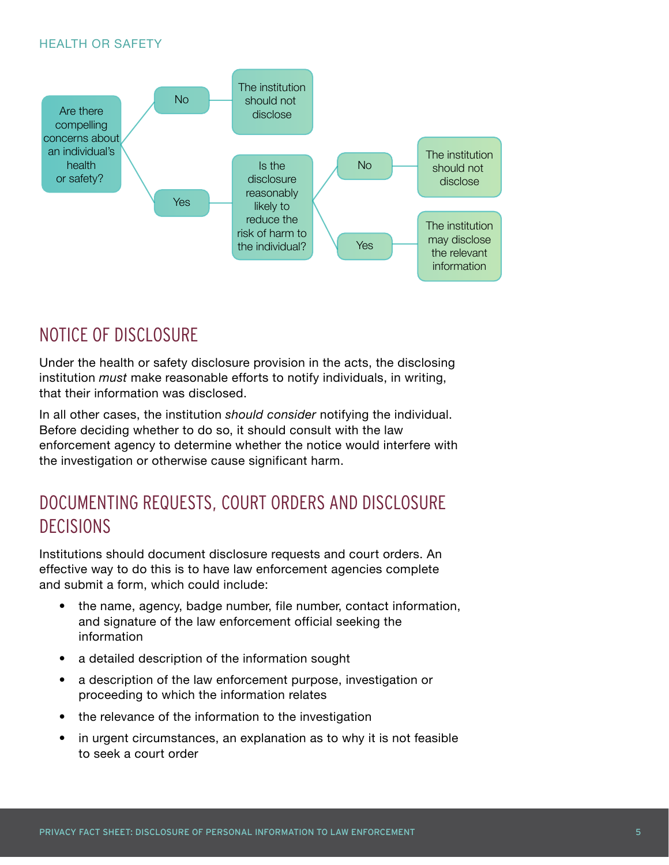#### HEALTH OR SAFETY



### NOTICE OF DISCLOSURE

Under the health or safety disclosure provision in the acts, the disclosing institution *must* make reasonable efforts to notify individuals, in writing, that their information was disclosed.

In all other cases, the institution *should consider* notifying the individual. Before deciding whether to do so, it should consult with the law enforcement agency to determine whether the notice would interfere with the investigation or otherwise cause significant harm.

## DOCUMENTING REQUESTS, COURT ORDERS AND DISCLOSURE DECISIONS

Institutions should document disclosure requests and court orders. An effective way to do this is to have law enforcement agencies complete and submit a form, which could include:

- the name, agency, badge number, file number, contact information, and signature of the law enforcement official seeking the information
- a detailed description of the information sought
- a description of the law enforcement purpose, investigation or proceeding to which the information relates
- the relevance of the information to the investigation
- in urgent circumstances, an explanation as to why it is not feasible to seek a court order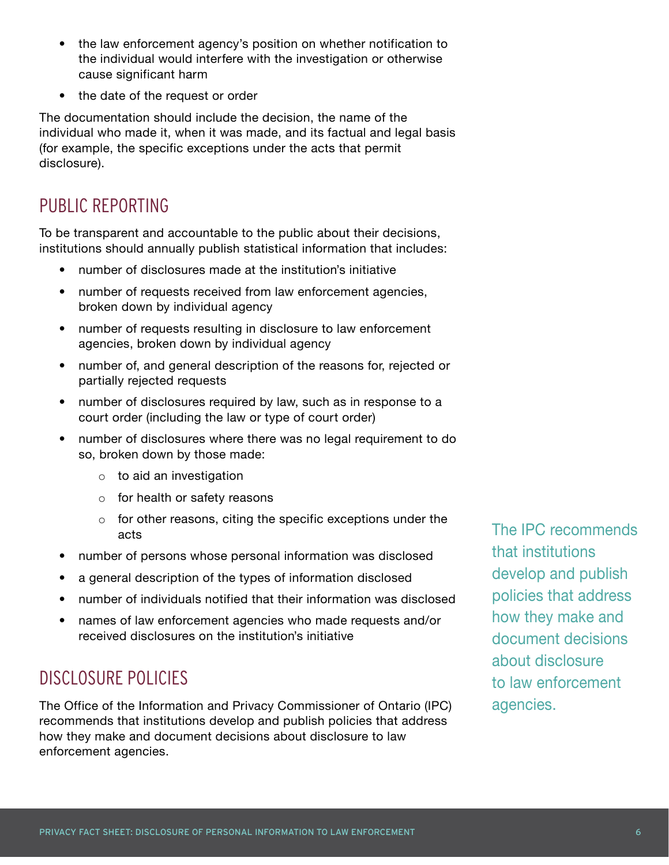- the law enforcement agency's position on whether notification to the individual would interfere with the investigation or otherwise cause significant harm
- the date of the request or order

The documentation should include the decision, the name of the individual who made it, when it was made, and its factual and legal basis (for example, the specific exceptions under the acts that permit disclosure).

## PUBLIC REPORTING

To be transparent and accountable to the public about their decisions, institutions should annually publish statistical information that includes:

- number of disclosures made at the institution's initiative
- number of requests received from law enforcement agencies, broken down by individual agency
- number of requests resulting in disclosure to law enforcement agencies, broken down by individual agency
- number of, and general description of the reasons for, rejected or partially rejected requests
- number of disclosures required by law, such as in response to a court order (including the law or type of court order)
- number of disclosures where there was no legal requirement to do so, broken down by those made:
	- $\circ$  to aid an investigation
	- o for health or safety reasons
	- $\circ$  for other reasons, citing the specific exceptions under the acts
- number of persons whose personal information was disclosed
- a general description of the types of information disclosed
- number of individuals notified that their information was disclosed
- names of law enforcement agencies who made requests and/or received disclosures on the institution's initiative

## DISCLOSURE POLICIES

The Office of the Information and Privacy Commissioner of Ontario (IPC) recommends that institutions develop and publish policies that address how they make and document decisions about disclosure to law enforcement agencies.

The IPC recommends that institutions develop and publish policies that address how they make and document decisions about disclosure to law enforcement agencies.